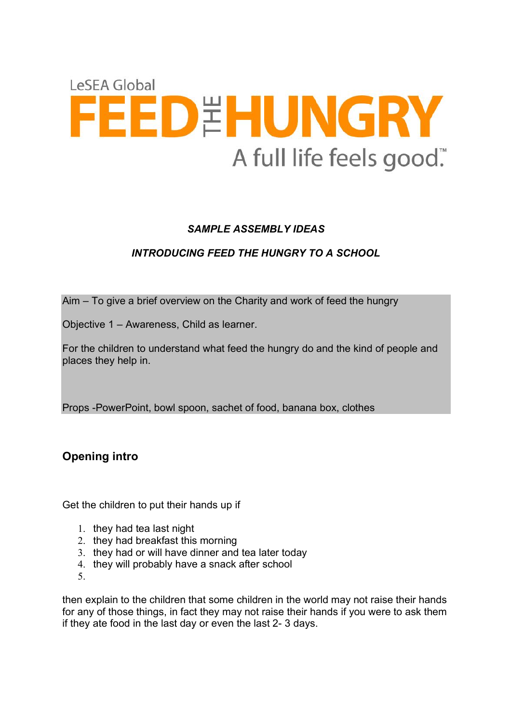

# *SAMPLE ASSEMBLY IDEAS*

# *INTRODUCING FEED THE HUNGRY TO A SCHOOL*

Aim – To give a brief overview on the Charity and work of feed the hungry

Objective 1 – Awareness, Child as learner.

For the children to understand what feed the hungry do and the kind of people and places they help in.

Props -PowerPoint, bowl spoon, sachet of food, banana box, clothes

**Opening intro**

Get the children to put their hands up if

- 1. they had tea last night
- 2. they had breakfast this morning
- 3. they had or will have dinner and tea later today
- 4. they will probably have a snack after school
- 5.

then explain to the children that some children in the world may not raise their hands for any of those things, in fact they may not raise their hands if you were to ask them if they ate food in the last day or even the last 2- 3 days.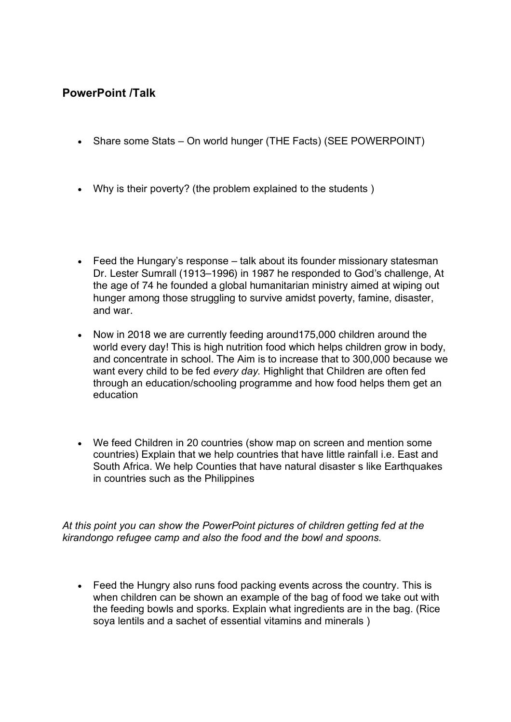# **PowerPoint /Talk**

- Share some Stats On world hunger (THE Facts) (SEE POWERPOINT)
- Why is their poverty? (the problem explained to the students )
- Feed the Hungary's response talk about its founder missionary statesman Dr. Lester Sumrall (1913–1996) in 1987 he responded to God's challenge, At the age of 74 he founded a global humanitarian ministry aimed at wiping out hunger among those struggling to survive amidst poverty, famine, disaster, and war.
- Now in 2018 we are currently feeding around175,000 children around the world every day! This is high nutrition food which helps children grow in body, and concentrate in school. The Aim is to increase that to 300,000 because we want every child to be fed *every day.* Highlight that Children are often fed through an education/schooling programme and how food helps them get an education
- We feed Children in 20 countries (show map on screen and mention some countries) Explain that we help countries that have little rainfall i.e. East and South Africa. We help Counties that have natural disaster s like Earthquakes in countries such as the Philippines

*At this point you can show the PowerPoint pictures of children getting fed at the kirandongo refugee camp and also the food and the bowl and spoons.* 

• Feed the Hungry also runs food packing events across the country. This is when children can be shown an example of the bag of food we take out with the feeding bowls and sporks. Explain what ingredients are in the bag. (Rice soya lentils and a sachet of essential vitamins and minerals )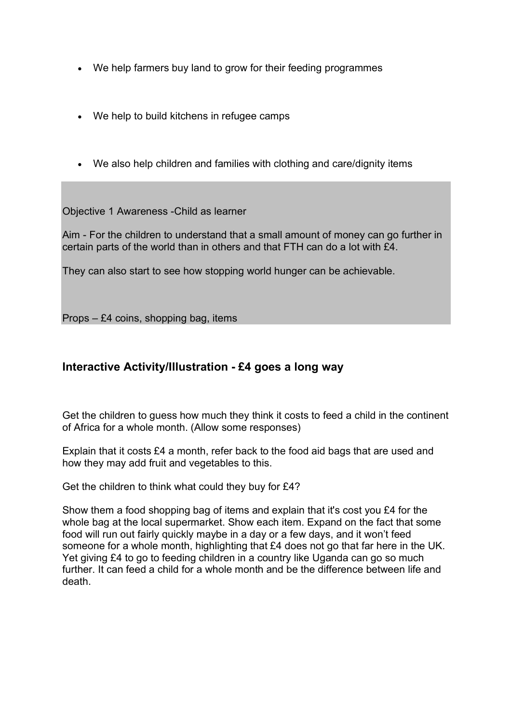- We help farmers buy land to grow for their feeding programmes
- We help to build kitchens in refugee camps
- We also help children and families with clothing and care/dignity items

Objective 1 Awareness -Child as learner

Aim - For the children to understand that a small amount of money can go further in certain parts of the world than in others and that FTH can do a lot with £4.

They can also start to see how stopping world hunger can be achievable.

Props – £4 coins, shopping bag, items

## **Interactive Activity/Illustration - £4 goes a long way**

Get the children to guess how much they think it costs to feed a child in the continent of Africa for a whole month. (Allow some responses)

Explain that it costs £4 a month, refer back to the food aid bags that are used and how they may add fruit and vegetables to this.

Get the children to think what could they buy for £4?

Show them a food shopping bag of items and explain that it's cost you £4 for the whole bag at the local supermarket. Show each item. Expand on the fact that some food will run out fairly quickly maybe in a day or a few days, and it won't feed someone for a whole month, highlighting that £4 does not go that far here in the UK. Yet giving £4 to go to feeding children in a country like Uganda can go so much further. It can feed a child for a whole month and be the difference between life and death.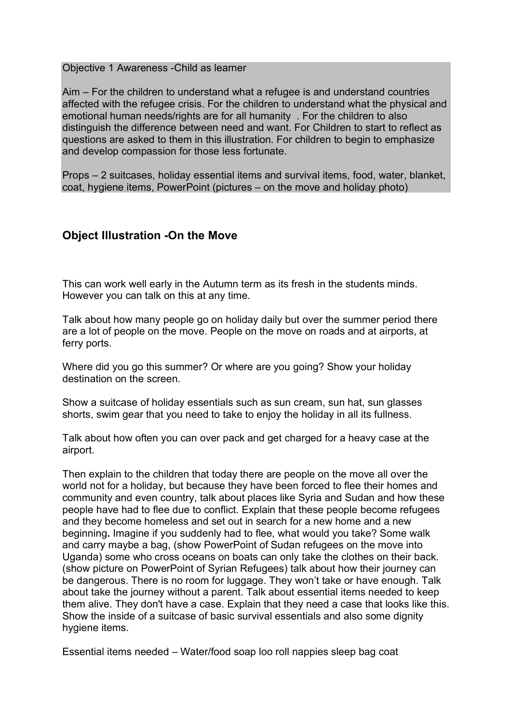Objective 1 Awareness -Child as learner

Aim – For the children to understand what a refugee is and understand countries affected with the refugee crisis. For the children to understand what the physical and emotional human needs/rights are for all humanity . For the children to also distinguish the difference between need and want. For Children to start to reflect as questions are asked to them in this illustration. For children to begin to emphasize and develop compassion for those less fortunate.

Props – 2 suitcases, holiday essential items and survival items, food, water, blanket, coat, hygiene items, PowerPoint (pictures – on the move and holiday photo)

### **Object Illustration -On the Move**

This can work well early in the Autumn term as its fresh in the students minds. However you can talk on this at any time.

Talk about how many people go on holiday daily but over the summer period there are a lot of people on the move. People on the move on roads and at airports, at ferry ports.

Where did you go this summer? Or where are you going? Show your holiday destination on the screen.

Show a suitcase of holiday essentials such as sun cream, sun hat, sun glasses shorts, swim gear that you need to take to enjoy the holiday in all its fullness.

Talk about how often you can over pack and get charged for a heavy case at the airport.

Then explain to the children that today there are people on the move all over the world not for a holiday, but because they have been forced to flee their homes and community and even country, talk about places like Syria and Sudan and how these people have had to flee due to conflict. Explain that these people become refugees and they become homeless and set out in search for a new home and a new beginning**.** Imagine if you suddenly had to flee, what would you take? Some walk and carry maybe a bag, (show PowerPoint of Sudan refugees on the move into Uganda) some who cross oceans on boats can only take the clothes on their back. (show picture on PowerPoint of Syrian Refugees) talk about how their journey can be dangerous. There is no room for luggage. They won't take or have enough. Talk about take the journey without a parent. Talk about essential items needed to keep them alive. They don't have a case. Explain that they need a case that looks like this. Show the inside of a suitcase of basic survival essentials and also some dignity hygiene items.

Essential items needed – Water/food soap loo roll nappies sleep bag coat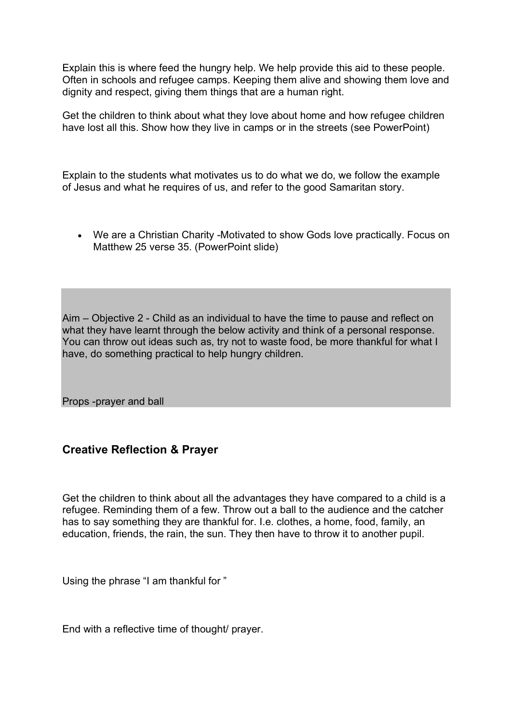Explain this is where feed the hungry help. We help provide this aid to these people. Often in schools and refugee camps. Keeping them alive and showing them love and dignity and respect, giving them things that are a human right.

Get the children to think about what they love about home and how refugee children have lost all this. Show how they live in camps or in the streets (see PowerPoint)

Explain to the students what motivates us to do what we do, we follow the example of Jesus and what he requires of us, and refer to the good Samaritan story.

• We are a Christian Charity -Motivated to show Gods love practically. Focus on Matthew 25 verse 35. (PowerPoint slide)

Aim – Objective 2 - Child as an individual to have the time to pause and reflect on what they have learnt through the below activity and think of a personal response. You can throw out ideas such as, try not to waste food, be more thankful for what I have, do something practical to help hungry children.

Props -prayer and ball

### **Creative Reflection & Prayer**

Get the children to think about all the advantages they have compared to a child is a refugee. Reminding them of a few. Throw out a ball to the audience and the catcher has to say something they are thankful for. I.e. clothes, a home, food, family, an education, friends, the rain, the sun. They then have to throw it to another pupil.

Using the phrase "I am thankful for "

End with a reflective time of thought/ prayer.